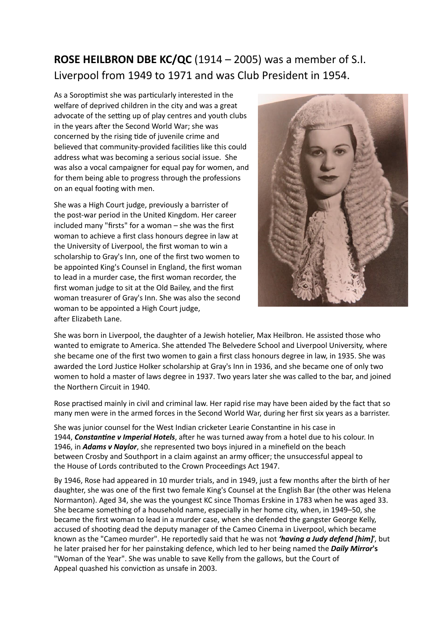## **ROSE HEILBRON DBE KC/QC** (1914 – 2005) was a member of S.I. Liverpool from 1949 to 1971 and was Club President in 1954.

As a Soroptimist she was particularly interested in the welfare of deprived children in the city and was a great advocate of the setting up of play centres and youth clubs in the years after the Second World War; she was concerned by the rising tide of juvenile crime and believed that community-provided facilities like this could address what was becoming a serious social issue. She was also a vocal campaigner for equal pay for women, and for them being able to progress through the professions on an equal footing with men.

She was a High Court judge, previously a barrister of the post-war period in the United Kingdom. Her career included many "firsts" for a woman – she was the first woman to achieve a first class honours degree in law at the University of Liverpool, the first woman to win a scholarship to Gray's Inn, one of the first two women to be appointed King's Counsel in England, the first woman to lead in a murder case, the first woman recorder, the first woman judge to sit at the Old Bailey, and the first woman treasurer of Gray's Inn. She was also the second woman to be appointed a High Court judge, after Elizabeth Lane.



She was born in Liverpool, the daughter of a Jewish hotelier, Max Heilbron. He assisted those who wanted to emigrate to America. She attended The Belvedere School and Liverpool University, where she became one of the first two women to gain a first class honours degree in law, in 1935. She was awarded the Lord Justice Holker scholarship at Gray's Inn in 1936, and she became one of only two women to hold a master of laws degree in 1937. Two years later she was called to the bar, and joined the Northern Circuit in 1940.

Rose practised mainly in civil and criminal law. Her rapid rise may have been aided by the fact that so many men were in the armed forces in the Second World War, during her first six years as a barrister.

She was junior counsel for the West Indian cricketer Learie Constantine in his case in 1944, **Constantine v Imperial Hotels**, after he was turned away from a hotel due to his colour. In 1946, in *Adams v Naylor*, she represented two boys injured in a minefield on the beach between Crosby and Southport in a claim against an army officer; the unsuccessful appeal to the House of Lords contributed to the Crown Proceedings Act 1947.

By 1946, Rose had appeared in 10 murder trials, and in 1949, just a few months after the birth of her daughter, she was one of the first two female King's Counsel at the English Bar (the other was Helena Normanton). Aged 34, she was the youngest KC since Thomas Erskine in 1783 when he was aged 33. She became something of a household name, especially in her home city, when, in 1949–50, she became the first woman to lead in a murder case, when she defended the gangster George Kelly, accused of shooting dead the deputy manager of the Cameo Cinema in Liverpool, which became known as the "Cameo murder". He reportedly said that he was not *'having a Judy defend [him]*', but he later praised her for her painstaking defence, which led to her being named the *Daily Mirror***'s** "Woman of the Year". She was unable to save Kelly from the gallows, but the Court of Appeal quashed his conviction as unsafe in 2003.